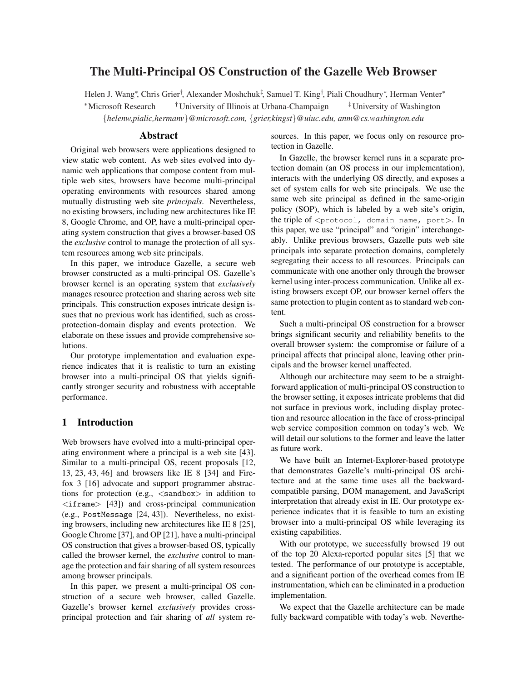# The Multi-Principal OS Construction of the Gazelle Web Browser

Helen J. Wang\*, Chris Grier<sup>†</sup>, Alexander Moshchuk<sup>‡</sup>, Samuel T. King<sup>†</sup>, Piali Choudhury\*, Herman Venter\* <sup>∗</sup>Microsoft Research †University of Illinois at Urbana-Champaign ‡University of Washington {*helenw,pialic,hermanv*}*@microsoft.com,* {*grier,kingst*}*@uiuc.edu, anm@cs.washington.edu*

#### Abstract

Original web browsers were applications designed to view static web content. As web sites evolved into dynamic web applications that compose content from multiple web sites, browsers have become multi-principal operating environments with resources shared among mutually distrusting web site *principals*. Nevertheless, no existing browsers, including new architectures like IE 8, Google Chrome, and OP, have a multi-principal operating system construction that gives a browser-based OS the *exclusive* control to manage the protection of all system resources among web site principals.

In this paper, we introduce Gazelle, a secure web browser constructed as a multi-principal OS. Gazelle's browser kernel is an operating system that *exclusively* manages resource protection and sharing across web site principals. This construction exposes intricate design issues that no previous work has identified, such as crossprotection-domain display and events protection. We elaborate on these issues and provide comprehensive solutions.

Our prototype implementation and evaluation experience indicates that it is realistic to turn an existing browser into a multi-principal OS that yields significantly stronger security and robustness with acceptable performance.

#### 1 Introduction

Web browsers have evolved into a multi-principal operating environment where a principal is a web site [43]. Similar to a multi-principal OS, recent proposals [12, 13, 23, 43, 46] and browsers like IE 8 [34] and Firefox 3 [16] advocate and support programmer abstractions for protection (e.g.,  $\langle$  sandbox $\rangle$  in addition to  $\langle$ iframe $\rangle$  [43]) and cross-principal communication (e.g., PostMessage [24, 43]). Nevertheless, no existing browsers, including new architectures like IE 8 [25], Google Chrome [37], and OP [21], have a multi-principal OS construction that gives a browser-based OS, typically called the browser kernel, the *exclusive* control to manage the protection and fair sharing of all system resources among browser principals.

In this paper, we present a multi-principal OS construction of a secure web browser, called Gazelle. Gazelle's browser kernel *exclusively* provides crossprincipal protection and fair sharing of *all* system resources. In this paper, we focus only on resource protection in Gazelle.

In Gazelle, the browser kernel runs in a separate protection domain (an OS process in our implementation), interacts with the underlying OS directly, and exposes a set of system calls for web site principals. We use the same web site principal as defined in the same-origin policy (SOP), which is labeled by a web site's origin, the triple of <protocol, domain name, port>. In this paper, we use "principal" and "origin" interchangeably. Unlike previous browsers, Gazelle puts web site principals into separate protection domains, completely segregating their access to all resources. Principals can communicate with one another only through the browser kernel using inter-process communication. Unlike all existing browsers except OP, our browser kernel offers the same protection to plugin content as to standard web content.

Such a multi-principal OS construction for a browser brings significant security and reliability benefits to the overall browser system: the compromise or failure of a principal affects that principal alone, leaving other principals and the browser kernel unaffected.

Although our architecture may seem to be a straightforward application of multi-principal OS construction to the browser setting, it exposes intricate problems that did not surface in previous work, including display protection and resource allocation in the face of cross-principal web service composition common on today's web. We will detail our solutions to the former and leave the latter as future work.

We have built an Internet-Explorer-based prototype that demonstrates Gazelle's multi-principal OS architecture and at the same time uses all the backwardcompatible parsing, DOM management, and JavaScript interpretation that already exist in IE. Our prototype experience indicates that it is feasible to turn an existing browser into a multi-principal OS while leveraging its existing capabilities.

With our prototype, we successfully browsed 19 out of the top 20 Alexa-reported popular sites [5] that we tested. The performance of our prototype is acceptable, and a significant portion of the overhead comes from IE instrumentation, which can be eliminated in a production implementation.

We expect that the Gazelle architecture can be made fully backward compatible with today's web. Neverthe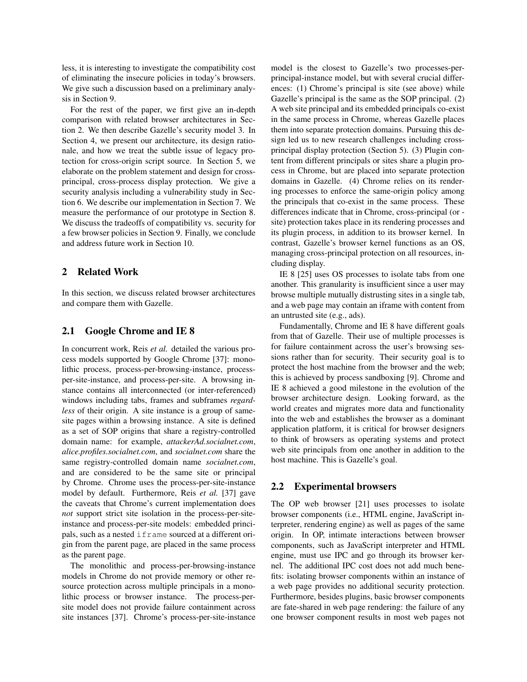less, it is interesting to investigate the compatibility cost of eliminating the insecure policies in today's browsers. We give such a discussion based on a preliminary analysis in Section 9.

For the rest of the paper, we first give an in-depth comparison with related browser architectures in Section 2. We then describe Gazelle's security model 3. In Section 4, we present our architecture, its design rationale, and how we treat the subtle issue of legacy protection for cross-origin script source. In Section 5, we elaborate on the problem statement and design for crossprincipal, cross-process display protection. We give a security analysis including a vulnerability study in Section 6. We describe our implementation in Section 7. We measure the performance of our prototype in Section 8. We discuss the tradeoffs of compatibility vs. security for a few browser policies in Section 9. Finally, we conclude and address future work in Section 10.

## 2 Related Work

In this section, we discuss related browser architectures and compare them with Gazelle.

## 2.1 Google Chrome and IE 8

In concurrent work, Reis *et al.* detailed the various process models supported by Google Chrome [37]: monolithic process, process-per-browsing-instance, processper-site-instance, and process-per-site. A browsing instance contains all interconnected (or inter-referenced) windows including tabs, frames and subframes *regardless* of their origin. A site instance is a group of samesite pages within a browsing instance. A site is defined as a set of SOP origins that share a registry-controlled domain name: for example, *attackerAd.socialnet.com*, *alice.profiles.socialnet.com*, and *socialnet.com* share the same registry-controlled domain name *socialnet.com*, and are considered to be the same site or principal by Chrome. Chrome uses the process-per-site-instance model by default. Furthermore, Reis *et al.* [37] gave the caveats that Chrome's current implementation does *not* support strict site isolation in the process-per-siteinstance and process-per-site models: embedded principals, such as a nested if rame sourced at a different origin from the parent page, are placed in the same process as the parent page.

The monolithic and process-per-browsing-instance models in Chrome do not provide memory or other resource protection across multiple principals in a monolithic process or browser instance. The process-persite model does not provide failure containment across site instances [37]. Chrome's process-per-site-instance model is the closest to Gazelle's two processes-perprincipal-instance model, but with several crucial differences: (1) Chrome's principal is site (see above) while Gazelle's principal is the same as the SOP principal. (2) A web site principal and its embedded principals co-exist in the same process in Chrome, whereas Gazelle places them into separate protection domains. Pursuing this design led us to new research challenges including crossprincipal display protection (Section 5). (3) Plugin content from different principals or sites share a plugin process in Chrome, but are placed into separate protection domains in Gazelle. (4) Chrome relies on its rendering processes to enforce the same-origin policy among the principals that co-exist in the same process. These differences indicate that in Chrome, cross-principal (or site) protection takes place in its rendering processes and its plugin process, in addition to its browser kernel. In contrast, Gazelle's browser kernel functions as an OS, managing cross-principal protection on all resources, including display.

IE 8 [25] uses OS processes to isolate tabs from one another. This granularity is insufficient since a user may browse multiple mutually distrusting sites in a single tab, and a web page may contain an iframe with content from an untrusted site (e.g., ads).

Fundamentally, Chrome and IE 8 have different goals from that of Gazelle. Their use of multiple processes is for failure containment across the user's browsing sessions rather than for security. Their security goal is to protect the host machine from the browser and the web; this is achieved by process sandboxing [9]. Chrome and IE 8 achieved a good milestone in the evolution of the browser architecture design. Looking forward, as the world creates and migrates more data and functionality into the web and establishes the browser as a dominant application platform, it is critical for browser designers to think of browsers as operating systems and protect web site principals from one another in addition to the host machine. This is Gazelle's goal.

#### 2.2 Experimental browsers

The OP web browser [21] uses processes to isolate browser components (i.e., HTML engine, JavaScript interpreter, rendering engine) as well as pages of the same origin. In OP, intimate interactions between browser components, such as JavaScript interpreter and HTML engine, must use IPC and go through its browser kernel. The additional IPC cost does not add much benefits: isolating browser components within an instance of a web page provides no additional security protection. Furthermore, besides plugins, basic browser components are fate-shared in web page rendering: the failure of any one browser component results in most web pages not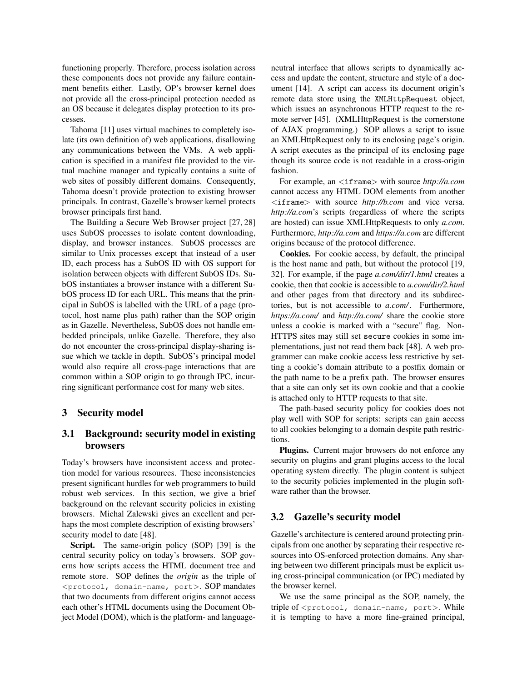functioning properly. Therefore, process isolation across these components does not provide any failure containment benefits either. Lastly, OP's browser kernel does not provide all the cross-principal protection needed as an OS because it delegates display protection to its processes.

Tahoma [11] uses virtual machines to completely isolate (its own definition of) web applications, disallowing any communications between the VMs. A web application is specified in a manifest file provided to the virtual machine manager and typically contains a suite of web sites of possibly different domains. Consequently, Tahoma doesn't provide protection to existing browser principals. In contrast, Gazelle's browser kernel protects browser principals first hand.

The Building a Secure Web Browser project [27, 28] uses SubOS processes to isolate content downloading, display, and browser instances. SubOS processes are similar to Unix processes except that instead of a user ID, each process has a SubOS ID with OS support for isolation between objects with different SubOS IDs. SubOS instantiates a browser instance with a different SubOS process ID for each URL. This means that the principal in SubOS is labelled with the URL of a page (protocol, host name plus path) rather than the SOP origin as in Gazelle. Nevertheless, SubOS does not handle embedded principals, unlike Gazelle. Therefore, they also do not encounter the cross-principal display-sharing issue which we tackle in depth. SubOS's principal model would also require all cross-page interactions that are common within a SOP origin to go through IPC, incurring significant performance cost for many web sites.

#### 3 Security model

## 3.1 Background: security model in existing browsers

Today's browsers have inconsistent access and protection model for various resources. These inconsistencies present significant hurdles for web programmers to build robust web services. In this section, we give a brief background on the relevant security policies in existing browsers. Michal Zalewski gives an excellent and perhaps the most complete description of existing browsers' security model to date [48].

Script. The same-origin policy (SOP) [39] is the central security policy on today's browsers. SOP governs how scripts access the HTML document tree and remote store. SOP defines the *origin* as the triple of <protocol, domain-name, port>. SOP mandates that two documents from different origins cannot access each other's HTML documents using the Document Object Model (DOM), which is the platform- and languageneutral interface that allows scripts to dynamically access and update the content, structure and style of a document [14]. A script can access its document origin's remote data store using the XMLHttpRequest object, which issues an asynchronous HTTP request to the remote server [45]. (XMLHttpRequest is the cornerstone of AJAX programming.) SOP allows a script to issue an XMLHttpRequest only to its enclosing page's origin. A script executes as the principal of its enclosing page though its source code is not readable in a cross-origin fashion.

For example, an  $\langle$ **iframe** $\rangle$  with source *http*://a.com cannot access any HTML DOM elements from another <iframe> with source *http://b.com* and vice versa. *http://a.com*'s scripts (regardless of where the scripts are hosted) can issue XMLHttpRequests to only *a.com*. Furthermore, *http://a.com* and *https://a.com* are different origins because of the protocol difference.

Cookies. For cookie access, by default, the principal is the host name and path, but without the protocol [19, 32]. For example, if the page *a.com/dir/1.html* creates a cookie, then that cookie is accessible to *a.com/dir/2.html* and other pages from that directory and its subdirectories, but is not accessible to *a.com/*. Furthermore, *https://a.com/* and *http://a.com/* share the cookie store unless a cookie is marked with a "secure" flag. Non-HTTPS sites may still set secure cookies in some implementations, just not read them back [48]. A web programmer can make cookie access less restrictive by setting a cookie's domain attribute to a postfix domain or the path name to be a prefix path. The browser ensures that a site can only set its own cookie and that a cookie is attached only to HTTP requests to that site.

The path-based security policy for cookies does not play well with SOP for scripts: scripts can gain access to all cookies belonging to a domain despite path restrictions.

Plugins. Current major browsers do not enforce any security on plugins and grant plugins access to the local operating system directly. The plugin content is subject to the security policies implemented in the plugin software rather than the browser.

#### 3.2 Gazelle's security model

Gazelle's architecture is centered around protecting principals from one another by separating their respective resources into OS-enforced protection domains. Any sharing between two different principals must be explicit using cross-principal communication (or IPC) mediated by the browser kernel.

We use the same principal as the SOP, namely, the triple of <protocol, domain-name, port>. While it is tempting to have a more fine-grained principal,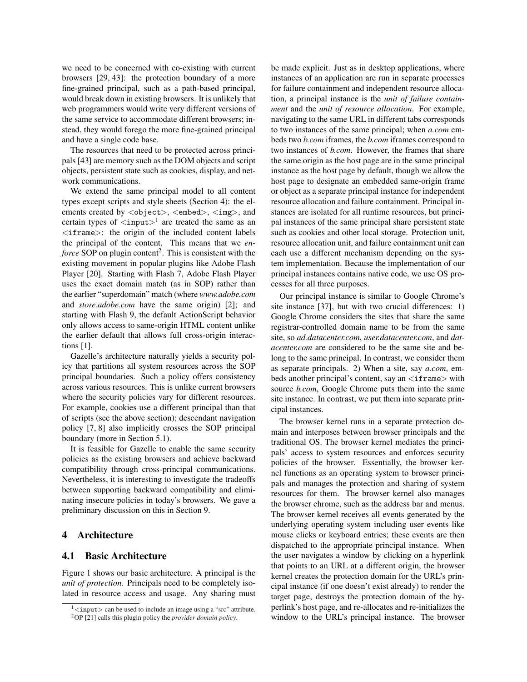we need to be concerned with co-existing with current browsers [29, 43]: the protection boundary of a more fine-grained principal, such as a path-based principal, would break down in existing browsers. It is unlikely that web programmers would write very different versions of the same service to accommodate different browsers; instead, they would forego the more fine-grained principal and have a single code base.

The resources that need to be protected across principals [43] are memory such as the DOM objects and script objects, persistent state such as cookies, display, and network communications.

We extend the same principal model to all content types except scripts and style sheets (Section 4): the elements created by <object>, <embed>, <img>, and certain types of  $\langle \text{input} \rangle$ <sup>1</sup> are treated the same as an <iframe>: the origin of the included content labels the principal of the content. This means that we *en*force SOP on plugin content<sup>2</sup>. This is consistent with the existing movement in popular plugins like Adobe Flash Player [20]. Starting with Flash 7, Adobe Flash Player uses the exact domain match (as in SOP) rather than the earlier "superdomain" match (where *www.adobe.com* and *store.adobe.com* have the same origin) [2]; and starting with Flash 9, the default ActionScript behavior only allows access to same-origin HTML content unlike the earlier default that allows full cross-origin interactions [1].

Gazelle's architecture naturally yields a security policy that partitions all system resources across the SOP principal boundaries. Such a policy offers consistency across various resources. This is unlike current browsers where the security policies vary for different resources. For example, cookies use a different principal than that of scripts (see the above section); descendant navigation policy [7, 8] also implicitly crosses the SOP principal boundary (more in Section 5.1).

It is feasible for Gazelle to enable the same security policies as the existing browsers and achieve backward compatibility through cross-principal communications. Nevertheless, it is interesting to investigate the tradeoffs between supporting backward compatibility and eliminating insecure policies in today's browsers. We gave a preliminary discussion on this in Section 9.

## 4 Architecture

## 4.1 Basic Architecture

Figure 1 shows our basic architecture. A principal is the *unit of protection*. Principals need to be completely isolated in resource access and usage. Any sharing must be made explicit. Just as in desktop applications, where instances of an application are run in separate processes for failure containment and independent resource allocation, a principal instance is the *unit of failure containment* and the *unit of resource allocation*. For example, navigating to the same URL in different tabs corresponds to two instances of the same principal; when *a.com* embeds two *b.com* iframes, the *b.com* iframes correspond to two instances of *b.com*. However, the frames that share the same origin as the host page are in the same principal instance as the host page by default, though we allow the host page to designate an embedded same-origin frame or object as a separate principal instance for independent resource allocation and failure containment. Principal instances are isolated for all runtime resources, but principal instances of the same principal share persistent state such as cookies and other local storage. Protection unit, resource allocation unit, and failure containment unit can each use a different mechanism depending on the system implementation. Because the implementation of our principal instances contains native code, we use OS processes for all three purposes.

Our principal instance is similar to Google Chrome's site instance [37], but with two crucial differences: 1) Google Chrome considers the sites that share the same registrar-controlled domain name to be from the same site, so *ad.datacenter.com*, *user.datacenter.com*, and *datacenter.com* are considered to be the same site and belong to the same principal. In contrast, we consider them as separate principals. 2) When a site, say *a.com*, embeds another principal's content, say an  $\langle$ iframe $\rangle$  with source *b.com*, Google Chrome puts them into the same site instance. In contrast, we put them into separate principal instances.

The browser kernel runs in a separate protection domain and interposes between browser principals and the traditional OS. The browser kernel mediates the principals' access to system resources and enforces security policies of the browser. Essentially, the browser kernel functions as an operating system to browser principals and manages the protection and sharing of system resources for them. The browser kernel also manages the browser chrome, such as the address bar and menus. The browser kernel receives all events generated by the underlying operating system including user events like mouse clicks or keyboard entries; these events are then dispatched to the appropriate principal instance. When the user navigates a window by clicking on a hyperlink that points to an URL at a different origin, the browser kernel creates the protection domain for the URL's principal instance (if one doesn't exist already) to render the target page, destroys the protection domain of the hyperlink's host page, and re-allocates and re-initializes the window to the URL's principal instance. The browser

 $1$ <input> can be used to include an image using a "src" attribute.

<sup>2</sup>OP [21] calls this plugin policy the *provider domain policy*.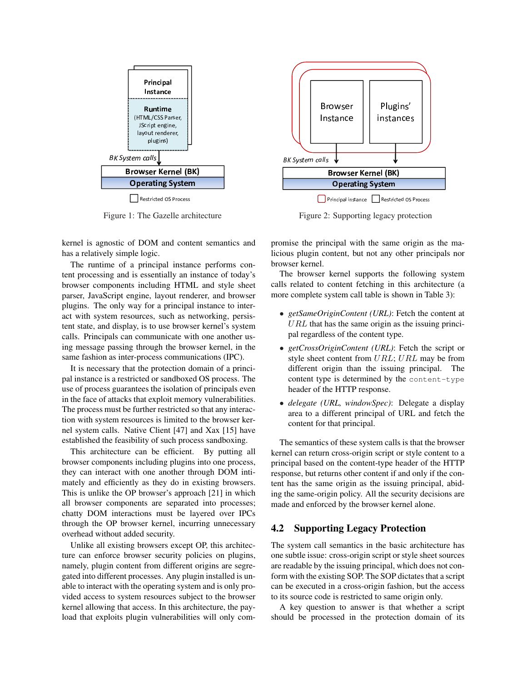

Restricted OS Process

Figure 1: The Gazelle architecture

kernel is agnostic of DOM and content semantics and has a relatively simple logic.

The runtime of a principal instance performs content processing and is essentially an instance of today's browser components including HTML and style sheet parser, JavaScript engine, layout renderer, and browser plugins. The only way for a principal instance to interact with system resources, such as networking, persistent state, and display, is to use browser kernel's system calls. Principals can communicate with one another using message passing through the browser kernel, in the same fashion as inter-process communications (IPC).

It is necessary that the protection domain of a principal instance is a restricted or sandboxed OS process. The use of process guarantees the isolation of principals even in the face of attacks that exploit memory vulnerabilities. The process must be further restricted so that any interaction with system resources is limited to the browser kernel system calls. Native Client [47] and Xax [15] have established the feasibility of such process sandboxing.

This architecture can be efficient. By putting all browser components including plugins into one process, they can interact with one another through DOM intimately and efficiently as they do in existing browsers. This is unlike the OP browser's approach [21] in which all browser components are separated into processes; chatty DOM interactions must be layered over IPCs through the OP browser kernel, incurring unnecessary overhead without added security.

Unlike all existing browsers except OP, this architecture can enforce browser security policies on plugins, namely, plugin content from different origins are segregated into different processes. Any plugin installed is unable to interact with the operating system and is only provided access to system resources subject to the browser kernel allowing that access. In this architecture, the payload that exploits plugin vulnerabilities will only com-



Principal instance | | Restricted OS Process

Figure 2: Supporting legacy protection

promise the principal with the same origin as the malicious plugin content, but not any other principals nor browser kernel.

The browser kernel supports the following system calls related to content fetching in this architecture (a more complete system call table is shown in Table 3):

- *getSameOriginContent (URL)*: Fetch the content at  $URL$  that has the same origin as the issuing principal regardless of the content type.
- *getCrossOriginContent (URL)*: Fetch the script or style sheet content from URL; URL may be from different origin than the issuing principal. The content type is determined by the content-type header of the HTTP response.
- *delegate (URL, windowSpec)*: Delegate a display area to a different principal of URL and fetch the content for that principal.

The semantics of these system calls is that the browser kernel can return cross-origin script or style content to a principal based on the content-type header of the HTTP response, but returns other content if and only if the content has the same origin as the issuing principal, abiding the same-origin policy. All the security decisions are made and enforced by the browser kernel alone.

## 4.2 Supporting Legacy Protection

The system call semantics in the basic architecture has one subtle issue: cross-origin script or style sheet sources are readable by the issuing principal, which does not conform with the existing SOP. The SOP dictates that a script can be executed in a cross-origin fashion, but the access to its source code is restricted to same origin only.

A key question to answer is that whether a script should be processed in the protection domain of its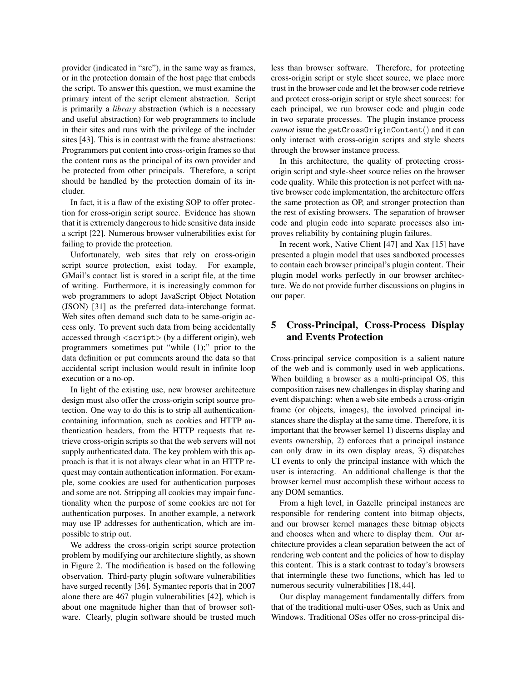provider (indicated in "src"), in the same way as frames, or in the protection domain of the host page that embeds the script. To answer this question, we must examine the primary intent of the script element abstraction. Script is primarily a *library* abstraction (which is a necessary and useful abstraction) for web programmers to include in their sites and runs with the privilege of the includer sites [43]. This is in contrast with the frame abstractions: Programmers put content into cross-origin frames so that the content runs as the principal of its own provider and be protected from other principals. Therefore, a script should be handled by the protection domain of its includer.

In fact, it is a flaw of the existing SOP to offer protection for cross-origin script source. Evidence has shown that it is extremely dangerous to hide sensitive data inside a script [22]. Numerous browser vulnerabilities exist for failing to provide the protection.

Unfortunately, web sites that rely on cross-origin script source protection, exist today. For example, GMail's contact list is stored in a script file, at the time of writing. Furthermore, it is increasingly common for web programmers to adopt JavaScript Object Notation (JSON) [31] as the preferred data-interchange format. Web sites often demand such data to be same-origin access only. To prevent such data from being accidentally accessed through  $\langle$ script $\rangle$  (by a different origin), web programmers sometimes put "while (1);" prior to the data definition or put comments around the data so that accidental script inclusion would result in infinite loop execution or a no-op.

In light of the existing use, new browser architecture design must also offer the cross-origin script source protection. One way to do this is to strip all authenticationcontaining information, such as cookies and HTTP authentication headers, from the HTTP requests that retrieve cross-origin scripts so that the web servers will not supply authenticated data. The key problem with this approach is that it is not always clear what in an HTTP request may contain authentication information. For example, some cookies are used for authentication purposes and some are not. Stripping all cookies may impair functionality when the purpose of some cookies are not for authentication purposes. In another example, a network may use IP addresses for authentication, which are impossible to strip out.

We address the cross-origin script source protection problem by modifying our architecture slightly, as shown in Figure 2. The modification is based on the following observation. Third-party plugin software vulnerabilities have surged recently [36]. Symantec reports that in 2007 alone there are 467 plugin vulnerabilities [42], which is about one magnitude higher than that of browser software. Clearly, plugin software should be trusted much less than browser software. Therefore, for protecting cross-origin script or style sheet source, we place more trust in the browser code and let the browser code retrieve and protect cross-origin script or style sheet sources: for each principal, we run browser code and plugin code in two separate processes. The plugin instance process *cannot* issue the getCrossOriginContent() and it can only interact with cross-origin scripts and style sheets through the browser instance process.

In this architecture, the quality of protecting crossorigin script and style-sheet source relies on the browser code quality. While this protection is not perfect with native browser code implementation, the architecture offers the same protection as OP, and stronger protection than the rest of existing browsers. The separation of browser code and plugin code into separate processes also improves reliability by containing plugin failures.

In recent work, Native Client [47] and Xax [15] have presented a plugin model that uses sandboxed processes to contain each browser principal's plugin content. Their plugin model works perfectly in our browser architecture. We do not provide further discussions on plugins in our paper.

## 5 Cross-Principal, Cross-Process Display and Events Protection

Cross-principal service composition is a salient nature of the web and is commonly used in web applications. When building a browser as a multi-principal OS, this composition raises new challenges in display sharing and event dispatching: when a web site embeds a cross-origin frame (or objects, images), the involved principal instances share the display at the same time. Therefore, it is important that the browser kernel 1) discerns display and events ownership, 2) enforces that a principal instance can only draw in its own display areas, 3) dispatches UI events to only the principal instance with which the user is interacting. An additional challenge is that the browser kernel must accomplish these without access to any DOM semantics.

From a high level, in Gazelle principal instances are responsible for rendering content into bitmap objects, and our browser kernel manages these bitmap objects and chooses when and where to display them. Our architecture provides a clean separation between the act of rendering web content and the policies of how to display this content. This is a stark contrast to today's browsers that intermingle these two functions, which has led to numerous security vulnerabilities [18, 44].

Our display management fundamentally differs from that of the traditional multi-user OSes, such as Unix and Windows. Traditional OSes offer no cross-principal dis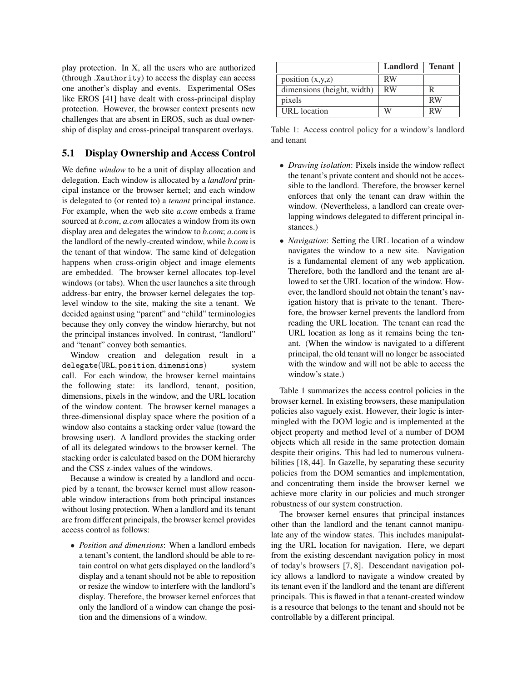play protection. In X, all the users who are authorized (through .Xauthority) to access the display can access one another's display and events. Experimental OSes like EROS [41] have dealt with cross-principal display protection. However, the browser context presents new challenges that are absent in EROS, such as dual ownership of display and cross-principal transparent overlays.

## 5.1 Display Ownership and Access Control

We define *window* to be a unit of display allocation and delegation. Each window is allocated by a *landlord* principal instance or the browser kernel; and each window is delegated to (or rented to) a *tenant* principal instance. For example, when the web site *a.com* embeds a frame sourced at *b.com*, *a.com* allocates a window from its own display area and delegates the window to *b.com*; *a.com* is the landlord of the newly-created window, while *b.com* is the tenant of that window. The same kind of delegation happens when cross-origin object and image elements are embedded. The browser kernel allocates top-level windows (or tabs). When the user launches a site through address-bar entry, the browser kernel delegates the toplevel window to the site, making the site a tenant. We decided against using "parent" and "child" terminologies because they only convey the window hierarchy, but not the principal instances involved. In contrast, "landlord" and "tenant" convey both semantics.

Window creation and delegation result in a delegate(URL, position, dimensions) system call. For each window, the browser kernel maintains the following state: its landlord, tenant, position, dimensions, pixels in the window, and the URL location of the window content. The browser kernel manages a three-dimensional display space where the position of a window also contains a stacking order value (toward the browsing user). A landlord provides the stacking order of all its delegated windows to the browser kernel. The stacking order is calculated based on the DOM hierarchy and the CSS z-index values of the windows.

Because a window is created by a landlord and occupied by a tenant, the browser kernel must allow reasonable window interactions from both principal instances without losing protection. When a landlord and its tenant are from different principals, the browser kernel provides access control as follows:

• *Position and dimensions*: When a landlord embeds a tenant's content, the landlord should be able to retain control on what gets displayed on the landlord's display and a tenant should not be able to reposition or resize the window to interfere with the landlord's display. Therefore, the browser kernel enforces that only the landlord of a window can change the position and the dimensions of a window.

|                            | <b>Landlord</b> | <b>Tenant</b> |
|----------------------------|-----------------|---------------|
| position $(x,y,z)$         | <b>RW</b>       |               |
| dimensions (height, width) | <b>RW</b>       | R             |
| pixels                     |                 | <b>RW</b>     |
| <b>URL</b> location        | W               | RW            |

Table 1: Access control policy for a window's landlord and tenant

- *Drawing isolation*: Pixels inside the window reflect the tenant's private content and should not be accessible to the landlord. Therefore, the browser kernel enforces that only the tenant can draw within the window. (Nevertheless, a landlord can create overlapping windows delegated to different principal instances.)
- *Navigation*: Setting the URL location of a window navigates the window to a new site. Navigation is a fundamental element of any web application. Therefore, both the landlord and the tenant are allowed to set the URL location of the window. However, the landlord should not obtain the tenant's navigation history that is private to the tenant. Therefore, the browser kernel prevents the landlord from reading the URL location. The tenant can read the URL location as long as it remains being the tenant. (When the window is navigated to a different principal, the old tenant will no longer be associated with the window and will not be able to access the window's state.)

Table 1 summarizes the access control policies in the browser kernel. In existing browsers, these manipulation policies also vaguely exist. However, their logic is intermingled with the DOM logic and is implemented at the object property and method level of a number of DOM objects which all reside in the same protection domain despite their origins. This had led to numerous vulnerabilities [18, 44]. In Gazelle, by separating these security policies from the DOM semantics and implementation, and concentrating them inside the browser kernel we achieve more clarity in our policies and much stronger robustness of our system construction.

The browser kernel ensures that principal instances other than the landlord and the tenant cannot manipulate any of the window states. This includes manipulating the URL location for navigation. Here, we depart from the existing descendant navigation policy in most of today's browsers [7, 8]. Descendant navigation policy allows a landlord to navigate a window created by its tenant even if the landlord and the tenant are different principals. This is flawed in that a tenant-created window is a resource that belongs to the tenant and should not be controllable by a different principal.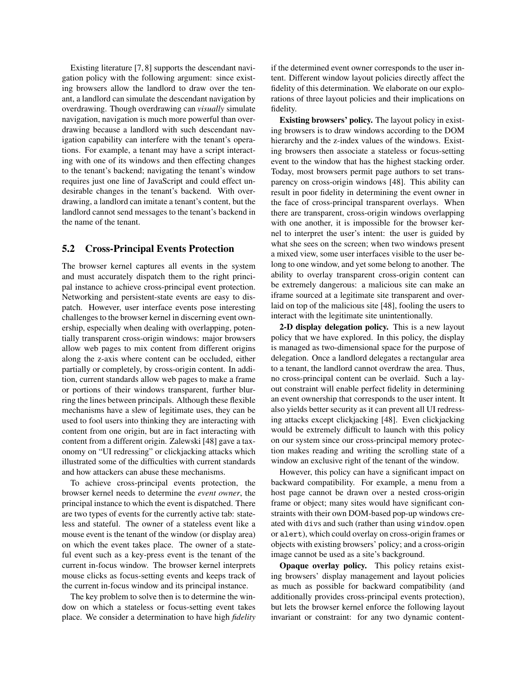Existing literature [7, 8] supports the descendant navigation policy with the following argument: since existing browsers allow the landlord to draw over the tenant, a landlord can simulate the descendant navigation by overdrawing. Though overdrawing can *visually* simulate navigation, navigation is much more powerful than overdrawing because a landlord with such descendant navigation capability can interfere with the tenant's operations. For example, a tenant may have a script interacting with one of its windows and then effecting changes to the tenant's backend; navigating the tenant's window requires just one line of JavaScript and could effect undesirable changes in the tenant's backend. With overdrawing, a landlord can imitate a tenant's content, but the landlord cannot send messages to the tenant's backend in the name of the tenant.

## 5.2 Cross-Principal Events Protection

The browser kernel captures all events in the system and must accurately dispatch them to the right principal instance to achieve cross-principal event protection. Networking and persistent-state events are easy to dispatch. However, user interface events pose interesting challenges to the browser kernel in discerning event ownership, especially when dealing with overlapping, potentially transparent cross-origin windows: major browsers allow web pages to mix content from different origins along the z-axis where content can be occluded, either partially or completely, by cross-origin content. In addition, current standards allow web pages to make a frame or portions of their windows transparent, further blurring the lines between principals. Although these flexible mechanisms have a slew of legitimate uses, they can be used to fool users into thinking they are interacting with content from one origin, but are in fact interacting with content from a different origin. Zalewski [48] gave a taxonomy on "UI redressing" or clickjacking attacks which illustrated some of the difficulties with current standards and how attackers can abuse these mechanisms.

To achieve cross-principal events protection, the browser kernel needs to determine the *event owner*, the principal instance to which the event is dispatched. There are two types of events for the currently active tab: stateless and stateful. The owner of a stateless event like a mouse event is the tenant of the window (or display area) on which the event takes place. The owner of a stateful event such as a key-press event is the tenant of the current in-focus window. The browser kernel interprets mouse clicks as focus-setting events and keeps track of the current in-focus window and its principal instance.

The key problem to solve then is to determine the window on which a stateless or focus-setting event takes place. We consider a determination to have high *fidelity* if the determined event owner corresponds to the user intent. Different window layout policies directly affect the fidelity of this determination. We elaborate on our explorations of three layout policies and their implications on fidelity.

Existing browsers' policy. The layout policy in existing browsers is to draw windows according to the DOM hierarchy and the z-index values of the windows. Existing browsers then associate a stateless or focus-setting event to the window that has the highest stacking order. Today, most browsers permit page authors to set transparency on cross-origin windows [48]. This ability can result in poor fidelity in determining the event owner in the face of cross-principal transparent overlays. When there are transparent, cross-origin windows overlapping with one another, it is impossible for the browser kernel to interpret the user's intent: the user is guided by what she sees on the screen; when two windows present a mixed view, some user interfaces visible to the user belong to one window, and yet some belong to another. The ability to overlay transparent cross-origin content can be extremely dangerous: a malicious site can make an iframe sourced at a legitimate site transparent and overlaid on top of the malicious site [48], fooling the users to interact with the legitimate site unintentionally.

2-D display delegation policy. This is a new layout policy that we have explored. In this policy, the display is managed as two-dimensional space for the purpose of delegation. Once a landlord delegates a rectangular area to a tenant, the landlord cannot overdraw the area. Thus, no cross-principal content can be overlaid. Such a layout constraint will enable perfect fidelity in determining an event ownership that corresponds to the user intent. It also yields better security as it can prevent all UI redressing attacks except clickjacking [48]. Even clickjacking would be extremely difficult to launch with this policy on our system since our cross-principal memory protection makes reading and writing the scrolling state of a window an exclusive right of the tenant of the window.

However, this policy can have a significant impact on backward compatibility. For example, a menu from a host page cannot be drawn over a nested cross-origin frame or object; many sites would have significant constraints with their own DOM-based pop-up windows created with divs and such (rather than using window.open or alert), which could overlay on cross-origin frames or objects with existing browsers' policy; and a cross-origin image cannot be used as a site's background.

Opaque overlay policy. This policy retains existing browsers' display management and layout policies as much as possible for backward compatibility (and additionally provides cross-principal events protection), but lets the browser kernel enforce the following layout invariant or constraint: for any two dynamic content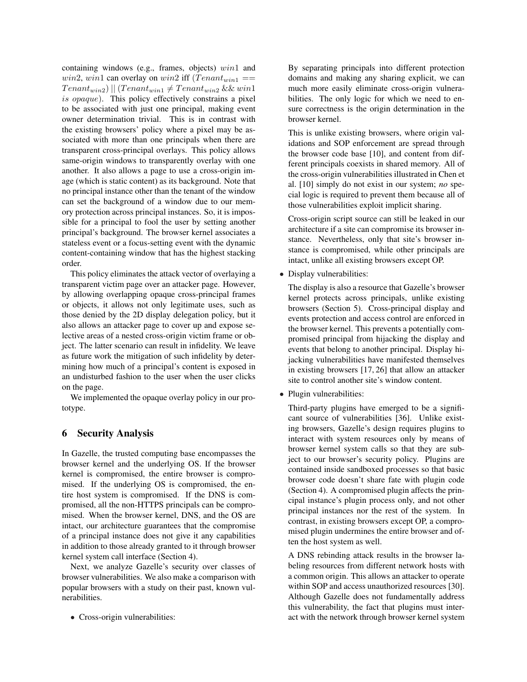containing windows (e.g., frames, objects)  $win1$  and win2, win1 can overlay on win2 iff  $(Tenant_{win1} ==$  $Tenant_{win2})$  ||  $(Tenant_{win1} \neq Tenant_{win2}$  && win1 is opaque). This policy effectively constrains a pixel to be associated with just one principal, making event owner determination trivial. This is in contrast with the existing browsers' policy where a pixel may be associated with more than one principals when there are transparent cross-principal overlays. This policy allows same-origin windows to transparently overlay with one another. It also allows a page to use a cross-origin image (which is static content) as its background. Note that no principal instance other than the tenant of the window can set the background of a window due to our memory protection across principal instances. So, it is impossible for a principal to fool the user by setting another principal's background. The browser kernel associates a stateless event or a focus-setting event with the dynamic content-containing window that has the highest stacking order.

This policy eliminates the attack vector of overlaying a transparent victim page over an attacker page. However, by allowing overlapping opaque cross-principal frames or objects, it allows not only legitimate uses, such as those denied by the 2D display delegation policy, but it also allows an attacker page to cover up and expose selective areas of a nested cross-origin victim frame or object. The latter scenario can result in infidelity. We leave as future work the mitigation of such infidelity by determining how much of a principal's content is exposed in an undisturbed fashion to the user when the user clicks on the page.

We implemented the opaque overlay policy in our prototype.

## 6 Security Analysis

In Gazelle, the trusted computing base encompasses the browser kernel and the underlying OS. If the browser kernel is compromised, the entire browser is compromised. If the underlying OS is compromised, the entire host system is compromised. If the DNS is compromised, all the non-HTTPS principals can be compromised. When the browser kernel, DNS, and the OS are intact, our architecture guarantees that the compromise of a principal instance does not give it any capabilities in addition to those already granted to it through browser kernel system call interface (Section 4).

Next, we analyze Gazelle's security over classes of browser vulnerabilities. We also make a comparison with popular browsers with a study on their past, known vulnerabilities.

• Cross-origin vulnerabilities:

By separating principals into different protection domains and making any sharing explicit, we can much more easily eliminate cross-origin vulnerabilities. The only logic for which we need to ensure correctness is the origin determination in the browser kernel.

This is unlike existing browsers, where origin validations and SOP enforcement are spread through the browser code base [10], and content from different principals coexists in shared memory. All of the cross-origin vulnerabilities illustrated in Chen et al. [10] simply do not exist in our system; *no* special logic is required to prevent them because all of those vulnerabilities exploit implicit sharing.

Cross-origin script source can still be leaked in our architecture if a site can compromise its browser instance. Nevertheless, only that site's browser instance is compromised, while other principals are intact, unlike all existing browsers except OP.

• Display vulnerabilities:

The display is also a resource that Gazelle's browser kernel protects across principals, unlike existing browsers (Section 5). Cross-principal display and events protection and access control are enforced in the browser kernel. This prevents a potentially compromised principal from hijacking the display and events that belong to another principal. Display hijacking vulnerabilities have manifested themselves in existing browsers [17, 26] that allow an attacker site to control another site's window content.

• Plugin vulnerabilities:

Third-party plugins have emerged to be a significant source of vulnerabilities [36]. Unlike existing browsers, Gazelle's design requires plugins to interact with system resources only by means of browser kernel system calls so that they are subject to our browser's security policy. Plugins are contained inside sandboxed processes so that basic browser code doesn't share fate with plugin code (Section 4). A compromised plugin affects the principal instance's plugin process only, and not other principal instances nor the rest of the system. In contrast, in existing browsers except OP, a compromised plugin undermines the entire browser and often the host system as well.

A DNS rebinding attack results in the browser labeling resources from different network hosts with a common origin. This allows an attacker to operate within SOP and access unauthorized resources [30]. Although Gazelle does not fundamentally address this vulnerability, the fact that plugins must interact with the network through browser kernel system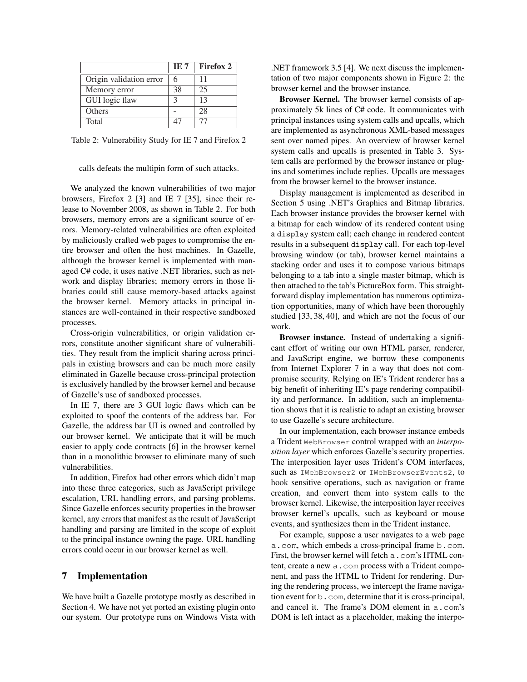|                         | IE 7 | <b>Firefox 2</b> |
|-------------------------|------|------------------|
| Origin validation error |      | 11               |
| Memory error            | 38   | 25               |
| GUI logic flaw          |      | 13               |
| Others                  |      | 28               |
| Total                   |      |                  |

Table 2: Vulnerability Study for IE 7 and Firefox 2

#### calls defeats the multipin form of such attacks.

We analyzed the known vulnerabilities of two major browsers, Firefox 2 [3] and IE 7 [35], since their release to November 2008, as shown in Table 2. For both browsers, memory errors are a significant source of errors. Memory-related vulnerabilities are often exploited by maliciously crafted web pages to compromise the entire browser and often the host machines. In Gazelle, although the browser kernel is implemented with managed C# code, it uses native .NET libraries, such as network and display libraries; memory errors in those libraries could still cause memory-based attacks against the browser kernel. Memory attacks in principal instances are well-contained in their respective sandboxed processes.

Cross-origin vulnerabilities, or origin validation errors, constitute another significant share of vulnerabilities. They result from the implicit sharing across principals in existing browsers and can be much more easily eliminated in Gazelle because cross-principal protection is exclusively handled by the browser kernel and because of Gazelle's use of sandboxed processes.

In IE 7, there are 3 GUI logic flaws which can be exploited to spoof the contents of the address bar. For Gazelle, the address bar UI is owned and controlled by our browser kernel. We anticipate that it will be much easier to apply code contracts [6] in the browser kernel than in a monolithic browser to eliminate many of such vulnerabilities.

In addition, Firefox had other errors which didn't map into these three categories, such as JavaScript privilege escalation, URL handling errors, and parsing problems. Since Gazelle enforces security properties in the browser kernel, any errors that manifest as the result of JavaScript handling and parsing are limited in the scope of exploit to the principal instance owning the page. URL handling errors could occur in our browser kernel as well.

#### 7 Implementation

We have built a Gazelle prototype mostly as described in Section 4. We have not yet ported an existing plugin onto our system. Our prototype runs on Windows Vista with .NET framework 3.5 [4]. We next discuss the implementation of two major components shown in Figure 2: the browser kernel and the browser instance.

Browser Kernel. The browser kernel consists of approximately 5k lines of C# code. It communicates with principal instances using system calls and upcalls, which are implemented as asynchronous XML-based messages sent over named pipes. An overview of browser kernel system calls and upcalls is presented in Table 3. System calls are performed by the browser instance or plugins and sometimes include replies. Upcalls are messages from the browser kernel to the browser instance.

Display management is implemented as described in Section 5 using .NET's Graphics and Bitmap libraries. Each browser instance provides the browser kernel with a bitmap for each window of its rendered content using a display system call; each change in rendered content results in a subsequent display call. For each top-level browsing window (or tab), browser kernel maintains a stacking order and uses it to compose various bitmaps belonging to a tab into a single master bitmap, which is then attached to the tab's PictureBox form. This straightforward display implementation has numerous optimization opportunities, many of which have been thoroughly studied [33, 38, 40], and which are not the focus of our work.

Browser instance. Instead of undertaking a significant effort of writing our own HTML parser, renderer, and JavaScript engine, we borrow these components from Internet Explorer 7 in a way that does not compromise security. Relying on IE's Trident renderer has a big benefit of inheriting IE's page rendering compatibility and performance. In addition, such an implementation shows that it is realistic to adapt an existing browser to use Gazelle's secure architecture.

In our implementation, each browser instance embeds a Trident WebBrowser control wrapped with an *interposition layer* which enforces Gazelle's security properties. The interposition layer uses Trident's COM interfaces, such as IWebBrowser2 or IWebBrowserEvents2, to hook sensitive operations, such as navigation or frame creation, and convert them into system calls to the browser kernel. Likewise, the interposition layer receives browser kernel's upcalls, such as keyboard or mouse events, and synthesizes them in the Trident instance.

For example, suppose a user navigates to a web page a.com, which embeds a cross-principal frame b.com. First, the browser kernel will fetch a . com's HTML content, create a new a.com process with a Trident component, and pass the HTML to Trident for rendering. During the rendering process, we intercept the frame navigation event for b.com, determine that it is cross-principal, and cancel it. The frame's DOM element in a.com's DOM is left intact as a placeholder, making the interpo-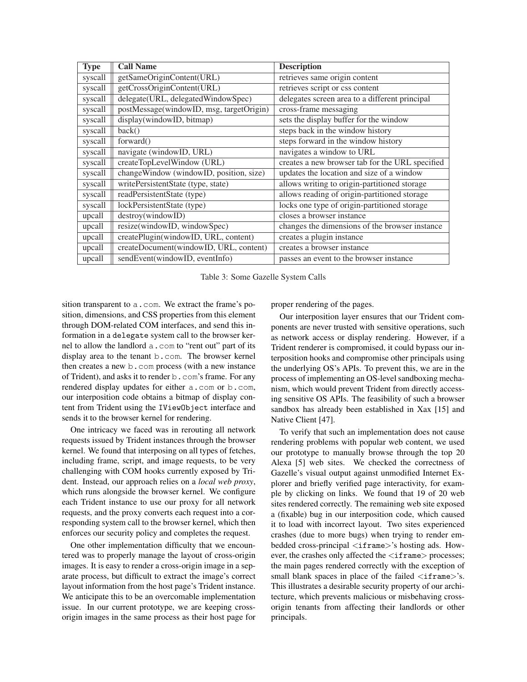| <b>Type</b> | <b>Call Name</b>                         | <b>Description</b>                              |
|-------------|------------------------------------------|-------------------------------------------------|
| syscall     | getSameOriginContent(URL)                | retrieves same origin content                   |
| syscall     | getCrossOriginContent(URL)               | retrieves script or css content                 |
| syscall     | delegate(URL, delegatedWindowSpec)       | delegates screen area to a different principal  |
| syscall     | postMessage(windowID, msg, targetOrigin) | cross-frame messaging                           |
| syscall     | display(windowID, bitmap)                | sets the display buffer for the window          |
| syscall     | back()                                   | steps back in the window history                |
| syscall     | forward()                                | steps forward in the window history             |
| syscall     | navigate (windowID, URL)                 | navigates a window to URL                       |
| syscall     | createTopLevelWindow (URL)               | creates a new browser tab for the URL specified |
| syscall     | changeWindow (windowID, position, size)  | updates the location and size of a window       |
| syscall     | writePersistentState (type, state)       | allows writing to origin-partitioned storage    |
| syscall     | readPersistentState (type)               | allows reading of origin-partitioned storage    |
| syscall     | lockPersistentState (type)               | locks one type of origin-partitioned storage    |
| upcall      | destroy(windowID)                        | closes a browser instance                       |
| upcall      | resize(windowID, windowSpec)             | changes the dimensions of the browser instance  |
| upcall      | createPlugin(windowID, URL, content)     | creates a plugin instance                       |
| upcall      | createDocument(windowID, URL, content)   | creates a browser instance                      |
| upcall      | sendEvent(windowID, eventInfo)           | passes an event to the browser instance         |

Table 3: Some Gazelle System Calls

sition transparent to a . com. We extract the frame's position, dimensions, and CSS properties from this element through DOM-related COM interfaces, and send this information in a delegate system call to the browser kernel to allow the landlord a.com to "rent out" part of its display area to the tenant b.com. The browser kernel then creates a new b.com process (with a new instance of Trident), and asks it to render b.com's frame. For any rendered display updates for either a.com or b.com, our interposition code obtains a bitmap of display content from Trident using the IViewObject interface and sends it to the browser kernel for rendering.

One intricacy we faced was in rerouting all network requests issued by Trident instances through the browser kernel. We found that interposing on all types of fetches, including frame, script, and image requests, to be very challenging with COM hooks currently exposed by Trident. Instead, our approach relies on a *local web proxy*, which runs alongside the browser kernel. We configure each Trident instance to use our proxy for all network requests, and the proxy converts each request into a corresponding system call to the browser kernel, which then enforces our security policy and completes the request.

One other implementation difficulty that we encountered was to properly manage the layout of cross-origin images. It is easy to render a cross-origin image in a separate process, but difficult to extract the image's correct layout information from the host page's Trident instance. We anticipate this to be an overcomable implementation issue. In our current prototype, we are keeping crossorigin images in the same process as their host page for proper rendering of the pages.

Our interposition layer ensures that our Trident components are never trusted with sensitive operations, such as network access or display rendering. However, if a Trident renderer is compromised, it could bypass our interposition hooks and compromise other principals using the underlying OS's APIs. To prevent this, we are in the process of implementing an OS-level sandboxing mechanism, which would prevent Trident from directly accessing sensitive OS APIs. The feasibility of such a browser sandbox has already been established in Xax [15] and Native Client [47].

To verify that such an implementation does not cause rendering problems with popular web content, we used our prototype to manually browse through the top 20 Alexa [5] web sites. We checked the correctness of Gazelle's visual output against unmodified Internet Explorer and briefly verified page interactivity, for example by clicking on links. We found that 19 of 20 web sites rendered correctly. The remaining web site exposed a (fixable) bug in our interposition code, which caused it to load with incorrect layout. Two sites experienced crashes (due to more bugs) when trying to render embedded cross-principal <iframe>'s hosting ads. However, the crashes only affected the  $\langle$ iframe $\rangle$  processes; the main pages rendered correctly with the exception of small blank spaces in place of the failed  $\langle$ iframe $>\rangle$ 's. This illustrates a desirable security property of our architecture, which prevents malicious or misbehaving crossorigin tenants from affecting their landlords or other principals.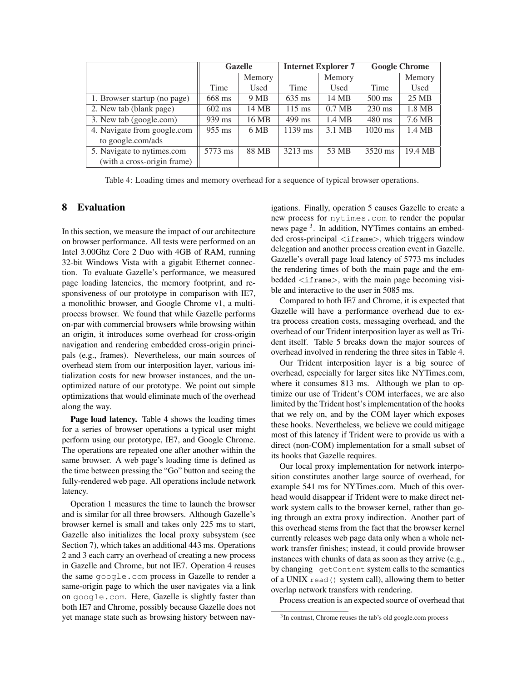|                              |                  | <b>Gazelle</b> | <b>Internet Explorer 7</b> |                  | <b>Google Chrome</b> |         |
|------------------------------|------------------|----------------|----------------------------|------------------|----------------------|---------|
|                              |                  | Memory         |                            | Memory           |                      | Memory  |
|                              | Time             | Used           | Time                       | Used             | Time                 | Used    |
| 1. Browser startup (no page) | 668 ms           | 9 MB           | $635$ ms                   | 14 MB            | $500 \text{ ms}$     | 25 MB   |
| 2. New tab (blank page)      | $602$ ms         | 14 MB          | $115 \text{ ms}$           | $0.7 \text{ MB}$ | $230 \text{ ms}$     | 1.8 MB  |
| 3. New tab (google.com)      | 939 ms           | 16 MB          | $499$ ms                   | 1.4 MB           | 480 ms               | 7.6 MB  |
| 4. Navigate from google.com  | $955 \text{ ms}$ | 6 MB           | $1139$ ms                  | 3.1 MB           | $1020$ ms            | 1.4 MB  |
| to google.com/ads            |                  |                |                            |                  |                      |         |
| 5. Navigate to nytimes.com   | 5773 ms          | 88 MB          | 3213 ms                    | 53 MB            | 3520 ms              | 19.4 MB |
| (with a cross-origin frame)  |                  |                |                            |                  |                      |         |

Table 4: Loading times and memory overhead for a sequence of typical browser operations.

## 8 Evaluation

In this section, we measure the impact of our architecture on browser performance. All tests were performed on an Intel 3.00Ghz Core 2 Duo with 4GB of RAM, running 32-bit Windows Vista with a gigabit Ethernet connection. To evaluate Gazelle's performance, we measured page loading latencies, the memory footprint, and responsiveness of our prototype in comparison with IE7, a monolithic browser, and Google Chrome v1, a multiprocess browser. We found that while Gazelle performs on-par with commercial browsers while browsing within an origin, it introduces some overhead for cross-origin navigation and rendering embedded cross-origin principals (e.g., frames). Nevertheless, our main sources of overhead stem from our interposition layer, various initialization costs for new browser instances, and the unoptimized nature of our prototype. We point out simple optimizations that would eliminate much of the overhead along the way.

Page load latency. Table 4 shows the loading times for a series of browser operations a typical user might perform using our prototype, IE7, and Google Chrome. The operations are repeated one after another within the same browser. A web page's loading time is defined as the time between pressing the "Go" button and seeing the fully-rendered web page. All operations include network latency.

Operation 1 measures the time to launch the browser and is similar for all three browsers. Although Gazelle's browser kernel is small and takes only 225 ms to start, Gazelle also initializes the local proxy subsystem (see Section 7), which takes an additional 443 ms. Operations 2 and 3 each carry an overhead of creating a new process in Gazelle and Chrome, but not IE7. Operation 4 reuses the same google.com process in Gazelle to render a same-origin page to which the user navigates via a link on google.com. Here, Gazelle is slightly faster than both IE7 and Chrome, possibly because Gazelle does not yet manage state such as browsing history between navigations. Finally, operation 5 causes Gazelle to create a new process for nytimes.com to render the popular news page<sup>3</sup>. In addition, NYTimes contains an embedded cross-principal <iframe>, which triggers window delegation and another process creation event in Gazelle. Gazelle's overall page load latency of 5773 ms includes the rendering times of both the main page and the embedded <iframe>, with the main page becoming visible and interactive to the user in 5085 ms.

Compared to both IE7 and Chrome, it is expected that Gazelle will have a performance overhead due to extra process creation costs, messaging overhead, and the overhead of our Trident interposition layer as well as Trident itself. Table 5 breaks down the major sources of overhead involved in rendering the three sites in Table 4.

Our Trident interposition layer is a big source of overhead, especially for larger sites like NYTimes.com, where it consumes 813 ms. Although we plan to optimize our use of Trident's COM interfaces, we are also limited by the Trident host's implementation of the hooks that we rely on, and by the COM layer which exposes these hooks. Nevertheless, we believe we could mitigage most of this latency if Trident were to provide us with a direct (non-COM) implementation for a small subset of its hooks that Gazelle requires.

Our local proxy implementation for network interposition constitutes another large source of overhead, for example 541 ms for NYTimes.com. Much of this overhead would disappear if Trident were to make direct network system calls to the browser kernel, rather than going through an extra proxy indirection. Another part of this overhead stems from the fact that the browser kernel currently releases web page data only when a whole network transfer finishes; instead, it could provide browser instances with chunks of data as soon as they arrive (e.g., by changing getContent system calls to the semantics of a UNIX read() system call), allowing them to better overlap network transfers with rendering.

Process creation is an expected source of overhead that

<sup>&</sup>lt;sup>3</sup>In contrast, Chrome reuses the tab's old google.com process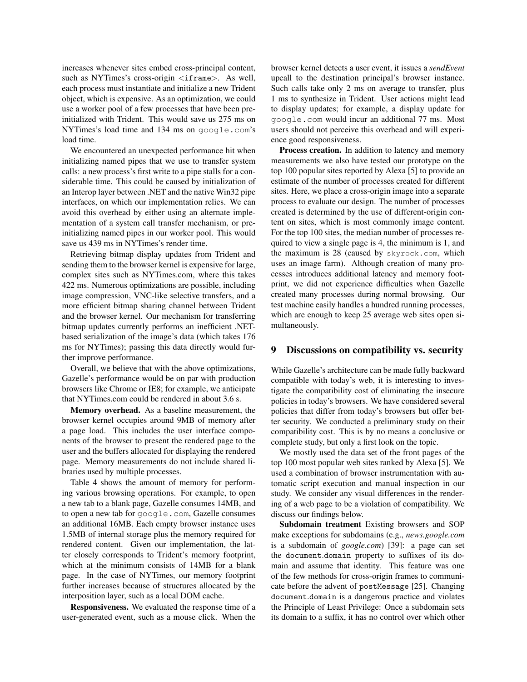increases whenever sites embed cross-principal content, such as NYTimes's cross-origin <iframe>. As well, each process must instantiate and initialize a new Trident object, which is expensive. As an optimization, we could use a worker pool of a few processes that have been preinitialized with Trident. This would save us 275 ms on NYTimes's load time and 134 ms on google.com's load time.

We encountered an unexpected performance hit when initializing named pipes that we use to transfer system calls: a new process's first write to a pipe stalls for a considerable time. This could be caused by initialization of an Interop layer between .NET and the native Win32 pipe interfaces, on which our implementation relies. We can avoid this overhead by either using an alternate implementation of a system call transfer mechanism, or preinitializing named pipes in our worker pool. This would save us 439 ms in NYTimes's render time.

Retrieving bitmap display updates from Trident and sending them to the browser kernel is expensive for large, complex sites such as NYTimes.com, where this takes 422 ms. Numerous optimizations are possible, including image compression, VNC-like selective transfers, and a more efficient bitmap sharing channel between Trident and the browser kernel. Our mechanism for transferring bitmap updates currently performs an inefficient .NETbased serialization of the image's data (which takes 176 ms for NYTimes); passing this data directly would further improve performance.

Overall, we believe that with the above optimizations, Gazelle's performance would be on par with production browsers like Chrome or IE8; for example, we anticipate that NYTimes.com could be rendered in about 3.6 s.

Memory overhead. As a baseline measurement, the browser kernel occupies around 9MB of memory after a page load. This includes the user interface components of the browser to present the rendered page to the user and the buffers allocated for displaying the rendered page. Memory measurements do not include shared libraries used by multiple processes.

Table 4 shows the amount of memory for performing various browsing operations. For example, to open a new tab to a blank page, Gazelle consumes 14MB, and to open a new tab for google.com, Gazelle consumes an additional 16MB. Each empty browser instance uses 1.5MB of internal storage plus the memory required for rendered content. Given our implementation, the latter closely corresponds to Trident's memory footprint, which at the minimum consists of 14MB for a blank page. In the case of NYTimes, our memory footprint further increases because of structures allocated by the interposition layer, such as a local DOM cache.

Responsiveness. We evaluated the response time of a user-generated event, such as a mouse click. When the browser kernel detects a user event, it issues a *sendEvent* upcall to the destination principal's browser instance. Such calls take only 2 ms on average to transfer, plus 1 ms to synthesize in Trident. User actions might lead to display updates; for example, a display update for google.com would incur an additional 77 ms. Most users should not perceive this overhead and will experience good responsiveness.

Process creation. In addition to latency and memory measurements we also have tested our prototype on the top 100 popular sites reported by Alexa [5] to provide an estimate of the number of processes created for different sites. Here, we place a cross-origin image into a separate process to evaluate our design. The number of processes created is determined by the use of different-origin content on sites, which is most commonly image content. For the top 100 sites, the median number of processes required to view a single page is 4, the minimum is 1, and the maximum is 28 (caused by skyrock.com, which uses an image farm). Although creation of many processes introduces additional latency and memory footprint, we did not experience difficulties when Gazelle created many processes during normal browsing. Our test machine easily handles a hundred running processes, which are enough to keep 25 average web sites open simultaneously.

#### 9 Discussions on compatibility vs. security

While Gazelle's architecture can be made fully backward compatible with today's web, it is interesting to investigate the compatibility cost of eliminating the insecure policies in today's browsers. We have considered several policies that differ from today's browsers but offer better security. We conducted a preliminary study on their compatibility cost. This is by no means a conclusive or complete study, but only a first look on the topic.

We mostly used the data set of the front pages of the top 100 most popular web sites ranked by Alexa [5]. We used a combination of browser instrumentation with automatic script execution and manual inspection in our study. We consider any visual differences in the rendering of a web page to be a violation of compatibility. We discuss our findings below.

Subdomain treatment Existing browsers and SOP make exceptions for subdomains (e.g., *news.google.com* is a subdomain of *google.com*) [39]: a page can set the document.domain property to suffixes of its domain and assume that identity. This feature was one of the few methods for cross-origin frames to communicate before the advent of postMessage [25]. Changing document.domain is a dangerous practice and violates the Principle of Least Privilege: Once a subdomain sets its domain to a suffix, it has no control over which other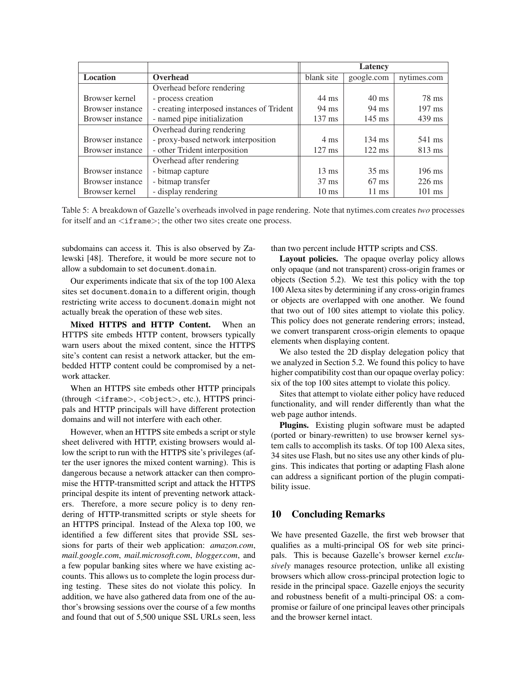|                  |                                            | Latency          |                  |                  |
|------------------|--------------------------------------------|------------------|------------------|------------------|
| <b>Location</b>  | Overhead                                   | blank site       | google.com       | nytimes.com      |
|                  | Overhead before rendering                  |                  |                  |                  |
| Browser kernel   | - process creation                         | $44 \text{ ms}$  | $40 \text{ ms}$  | 78 ms            |
| Browser instance | - creating interposed instances of Trident | 94 ms            | $94 \text{ ms}$  | $197 \text{ ms}$ |
| Browser instance | - named pipe initialization                | $137 \text{ ms}$ | $145$ ms         | $439$ ms         |
|                  | Overhead during rendering                  |                  |                  |                  |
| Browser instance | - proxy-based network interposition        | $4 \text{ ms}$   | $134 \text{ ms}$ | 541 ms           |
| Browser instance | - other Trident interposition              | $127 \text{ ms}$ | $122 \text{ ms}$ | $813 \text{ ms}$ |
|                  | Overhead after rendering                   |                  |                  |                  |
| Browser instance | - bitmap capture                           | $13 \text{ ms}$  | $35 \text{ ms}$  | $196$ ms         |
| Browser instance | - bitmap transfer                          | $37 \text{ ms}$  | $67 \text{ ms}$  | $226$ ms         |
| Browser kernel   | - display rendering                        | $10 \text{ ms}$  | $11 \text{ ms}$  | $101$ ms         |

Table 5: A breakdown of Gazelle's overheads involved in page rendering. Note that nytimes.com creates *two* processes for itself and an  $\langle$  if rame $\rangle$ ; the other two sites create one process.

subdomains can access it. This is also observed by Zalewski [48]. Therefore, it would be more secure not to allow a subdomain to set document.domain.

Our experiments indicate that six of the top 100 Alexa sites set document.domain to a different origin, though restricting write access to document.domain might not actually break the operation of these web sites.

Mixed HTTPS and HTTP Content. When an HTTPS site embeds HTTP content, browsers typically warn users about the mixed content, since the HTTPS site's content can resist a network attacker, but the embedded HTTP content could be compromised by a network attacker.

When an HTTPS site embeds other HTTP principals (through <iframe>, <object>, etc.), HTTPS principals and HTTP principals will have different protection domains and will not interfere with each other.

However, when an HTTPS site embeds a script or style sheet delivered with HTTP, existing browsers would allow the script to run with the HTTPS site's privileges (after the user ignores the mixed content warning). This is dangerous because a network attacker can then compromise the HTTP-transmitted script and attack the HTTPS principal despite its intent of preventing network attackers. Therefore, a more secure policy is to deny rendering of HTTP-transmitted scripts or style sheets for an HTTPS principal. Instead of the Alexa top 100, we identified a few different sites that provide SSL sessions for parts of their web application: *amazon.com*, *mail.google.com*, *mail.microsoft.com*, *blogger.com*, and a few popular banking sites where we have existing accounts. This allows us to complete the login process during testing. These sites do not violate this policy. In addition, we have also gathered data from one of the author's browsing sessions over the course of a few months and found that out of 5,500 unique SSL URLs seen, less than two percent include HTTP scripts and CSS.

Layout policies. The opaque overlay policy allows only opaque (and not transparent) cross-origin frames or objects (Section 5.2). We test this policy with the top 100 Alexa sites by determining if any cross-origin frames or objects are overlapped with one another. We found that two out of 100 sites attempt to violate this policy. This policy does not generate rendering errors; instead, we convert transparent cross-origin elements to opaque elements when displaying content.

We also tested the 2D display delegation policy that we analyzed in Section 5.2. We found this policy to have higher compatibility cost than our opaque overlay policy: six of the top 100 sites attempt to violate this policy.

Sites that attempt to violate either policy have reduced functionality, and will render differently than what the web page author intends.

Plugins. Existing plugin software must be adapted (ported or binary-rewritten) to use browser kernel system calls to accomplish its tasks. Of top 100 Alexa sites, 34 sites use Flash, but no sites use any other kinds of plugins. This indicates that porting or adapting Flash alone can address a significant portion of the plugin compatibility issue.

## 10 Concluding Remarks

We have presented Gazelle, the first web browser that qualifies as a multi-principal OS for web site principals. This is because Gazelle's browser kernel *exclusively* manages resource protection, unlike all existing browsers which allow cross-principal protection logic to reside in the principal space. Gazelle enjoys the security and robustness benefit of a multi-principal OS: a compromise or failure of one principal leaves other principals and the browser kernel intact.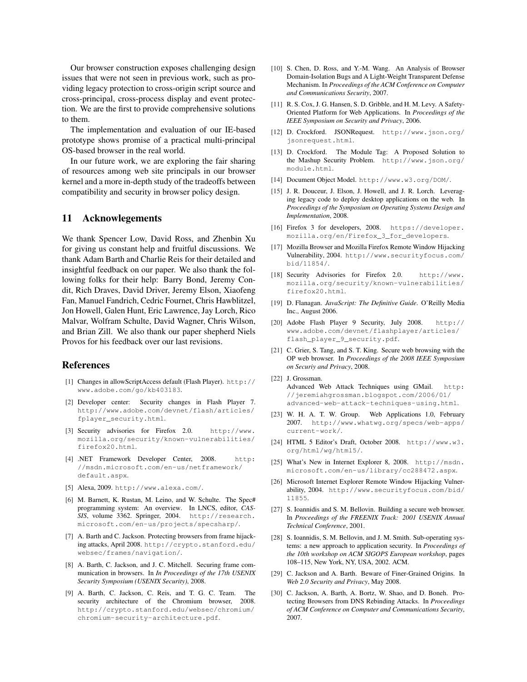Our browser construction exposes challenging design issues that were not seen in previous work, such as providing legacy protection to cross-origin script source and cross-principal, cross-process display and event protection. We are the first to provide comprehensive solutions to them.

The implementation and evaluation of our IE-based prototype shows promise of a practical multi-principal OS-based browser in the real world.

In our future work, we are exploring the fair sharing of resources among web site principals in our browser kernel and a more in-depth study of the tradeoffs between compatibility and security in browser policy design.

## 11 Acknowlegements

We thank Spencer Low, David Ross, and Zhenbin Xu for giving us constant help and fruitful discussions. We thank Adam Barth and Charlie Reis for their detailed and insightful feedback on our paper. We also thank the following folks for their help: Barry Bond, Jeremy Condit, Rich Draves, David Driver, Jeremy Elson, Xiaofeng Fan, Manuel Fandrich, Cedric Fournet, Chris Hawblitzel, Jon Howell, Galen Hunt, Eric Lawrence, Jay Lorch, Rico Malvar, Wolfram Schulte, David Wagner, Chris Wilson, and Brian Zill. We also thank our paper shepherd Niels Provos for his feedback over our last revisions.

## References

- [1] Changes in allowScriptAccess default (Flash Player). http:// www.adobe.com/go/kb403183.
- [2] Developer center: Security changes in Flash Player 7. http://www.adobe.com/devnet/flash/articles/ fplayer\_security.html.
- [3] Security advisories for Firefox 2.0. http://www. mozilla.org/security/known-vulnerabilities/ firefox20.html.
- [4] .NET Framework Developer Center, 2008. http: //msdn.microsoft.com/en-us/netframework/ default.aspx.
- [5] Alexa, 2009. http://www.alexa.com/.
- [6] M. Barnett, K. Rustan, M. Leino, and W. Schulte. The Spec# programming system: An overview. In LNCS, editor, *CAS-SIS*, volume 3362. Springer, 2004. http://research. microsoft.com/en-us/projects/specsharp/.
- [7] A. Barth and C. Jackson. Protecting browsers from frame hijacking attacks, April 2008. http://crypto.stanford.edu/ websec/frames/navigation/.
- [8] A. Barth, C. Jackson, and J. C. Mitchell. Securing frame communication in browsers. In *In Proceedings of the 17th USENIX Security Symposium (USENIX Security)*, 2008.
- [9] A. Barth, C. Jackson, C. Reis, and T. G. C. Team. The security architecture of the Chromium browser, 2008. http://crypto.stanford.edu/websec/chromium/ chromium-security-architecture.pdf.
- [10] S. Chen, D. Ross, and Y.-M. Wang. An Analysis of Browser Domain-Isolation Bugs and A Light-Weight Transparent Defense Mechanism. In *Proceedings of the ACM Conference on Computer and Communications Security*, 2007.
- [11] R. S. Cox, J. G. Hansen, S. D. Gribble, and H. M. Levy. A Safety-Oriented Platform for Web Applications. In *Proceedings of the IEEE Symposium on Security and Privacy*, 2006.
- [12] D. Crockford. JSONRequest. http://www.json.org/ jsonrequest.html.
- [13] D. Crockford. The Module Tag: A Proposed Solution to the Mashup Security Problem. http://www.json.org/ module.html.
- [14] Document Object Model. http://www.w3.org/DOM/.
- [15] J. R. Douceur, J. Elson, J. Howell, and J. R. Lorch. Leveraging legacy code to deploy desktop applications on the web. In *Proceedings of the Symposium on Operating Systems Design and Implementation*, 2008.
- [16] Firefox 3 for developers, 2008. https://developer. mozilla.org/en/Firefox\_3\_for\_developers.
- [17] Mozilla Browser and Mozilla Firefox Remote Window Hijacking Vulnerability, 2004. http://www.securityfocus.com/ bid/11854/.
- [18] Security Advisories for Firefox 2.0. http://www. mozilla.org/security/known-vulnerabilities/ firefox20.html.
- [19] D. Flanagan. *JavaScript: The Definitive Guide*. O'Reilly Media Inc., August 2006.
- [20] Adobe Flash Player 9 Security, July 2008. http:// www.adobe.com/devnet/flashplayer/articles/ flash\_player\_9\_security.pdf.
- [21] C. Grier, S. Tang, and S. T. King. Secure web browsing with the OP web browser. In *Proceedings of the 2008 IEEE Symposium on Securiy and Privacy*, 2008.
- [22] J. Grossman. Advanced Web Attack Techniques using GMail. http: //jeremiahgrossman.blogspot.com/2006/01/ advanced-web-attack-techniques-using.html.
- [23] W. H. A. T. W. Group. Web Applications 1.0, February 2007. http://www.whatwg.org/specs/web-apps/ current-work/.
- [24] HTML 5 Editor's Draft, October 2008. http://www.w3. org/html/wg/html5/.
- [25] What's New in Internet Explorer 8, 2008. http://msdn. microsoft.com/en-us/library/cc288472.aspx.
- [26] Microsoft Internet Explorer Remote Window Hijacking Vulnerability, 2004. http://www.securityfocus.com/bid/ 11855.
- [27] S. Ioannidis and S. M. Bellovin. Building a secure web browser. In *Proceedings of the FREENIX Track: 2001 USENIX Annual Technical Conference*, 2001.
- [28] S. Ioannidis, S. M. Bellovin, and J. M. Smith. Sub-operating systems: a new approach to application security. In *Proceedings of the 10th workshop on ACM SIGOPS European workshop*, pages 108–115, New York, NY, USA, 2002. ACM.
- [29] C. Jackson and A. Barth. Beware of Finer-Grained Origins. In *Web 2.0 Security and Privacy*, May 2008.
- [30] C. Jackson, A. Barth, A. Bortz, W. Shao, and D. Boneh. Protecting Browsers from DNS Rebinding Attacks. In *Proceedings of ACM Conference on Computer and Communications Security*, 2007.